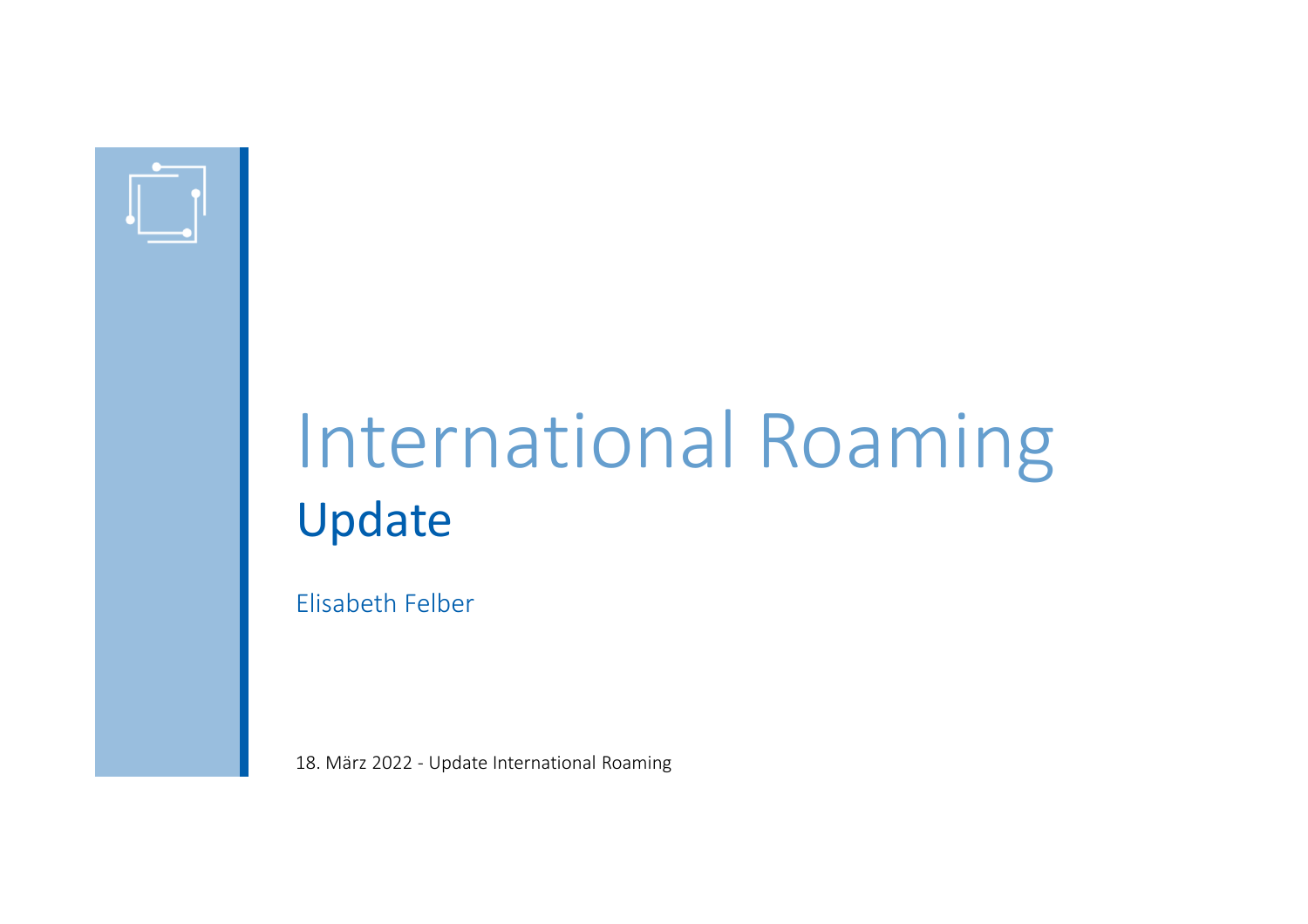

# International RoamingUpdate

Elisabeth Felber

18. März 2022 - Update International Roaming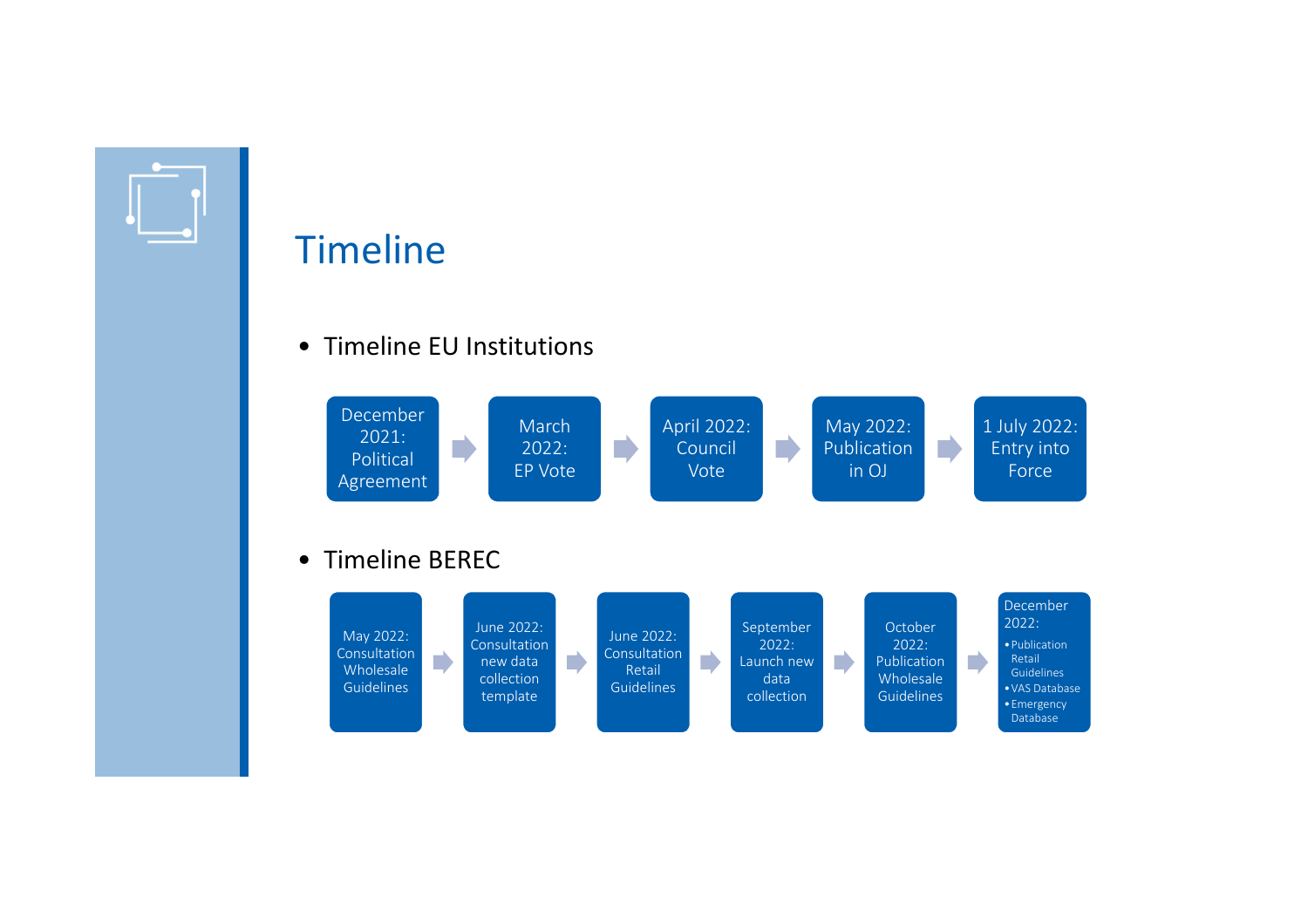

### Timeline

#### • Timeline EU Institutions

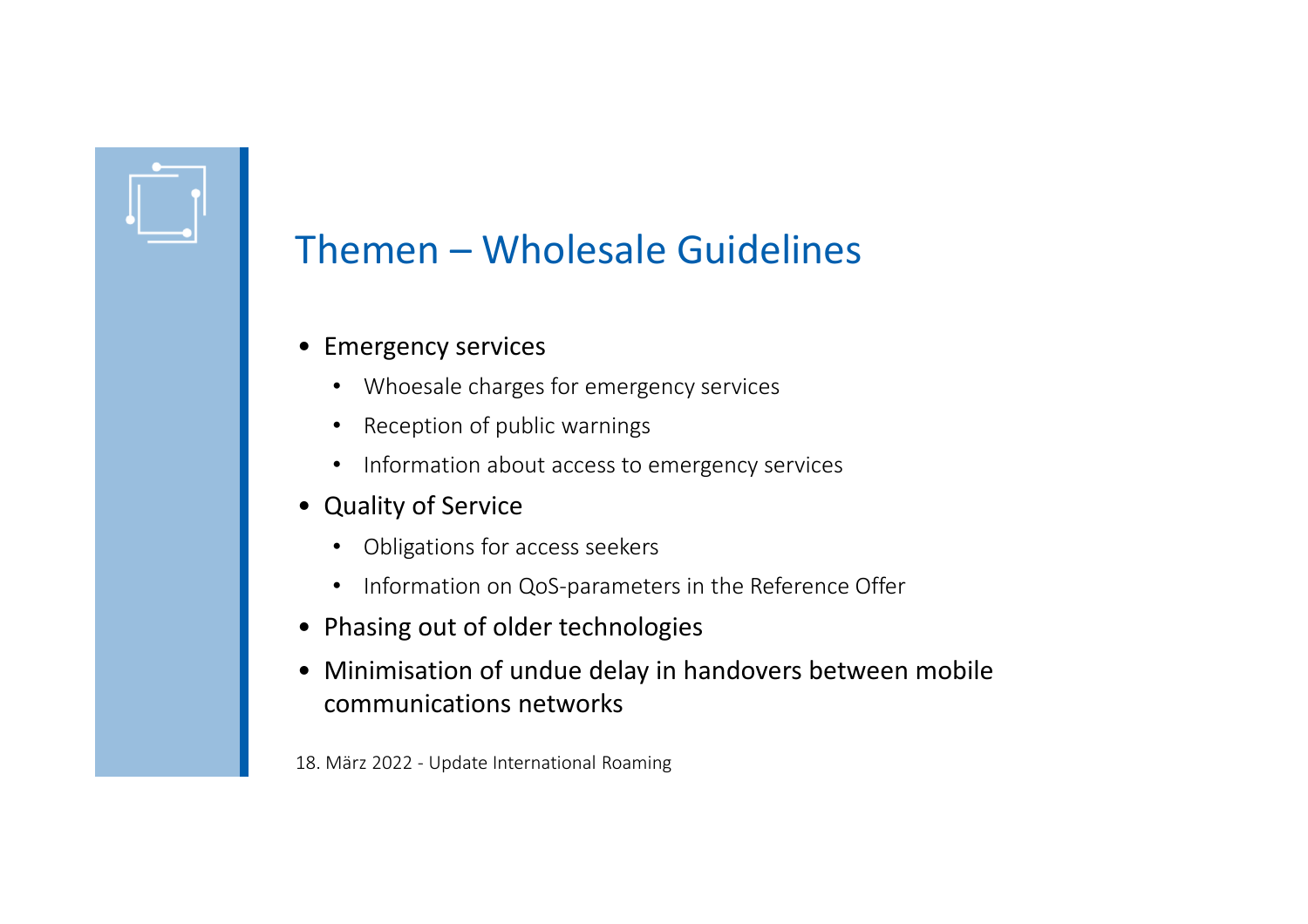

# Themen – Wholesale Guidelines

- Emergency services
	- Whoesale charges for emergency services
	- Reception of public warnings
	- Information about access to emergency services
- Quality of Service
	- Obligations for access seekers
	- Information on QoS-parameters in the Reference Offer
- Phasing out of older technologies
- Minimisation of undue delay in handovers between mobile communications networks
- 18. März 2022 Update International Roaming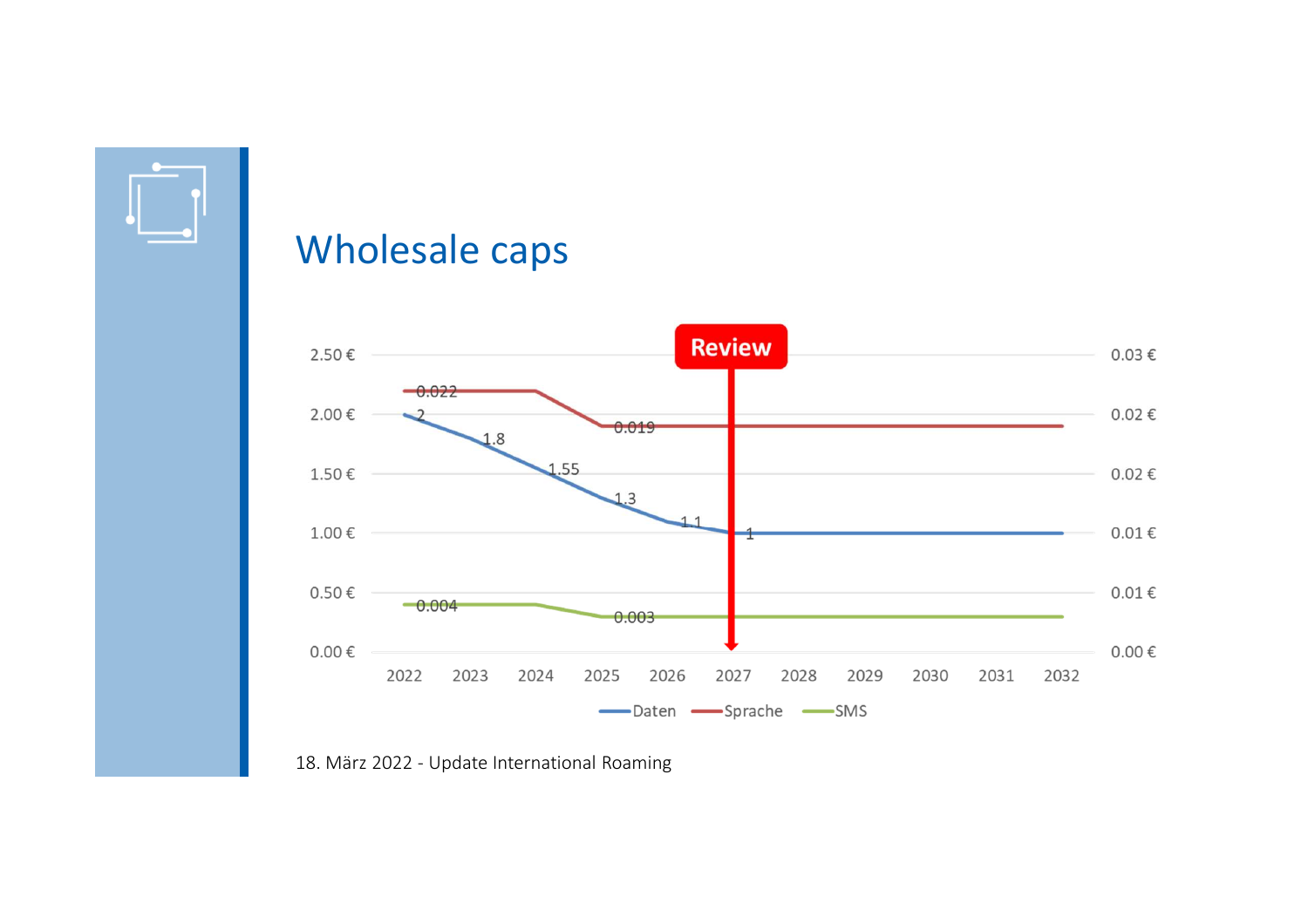

### Wholesale caps



18. März 2022 - Update International Roaming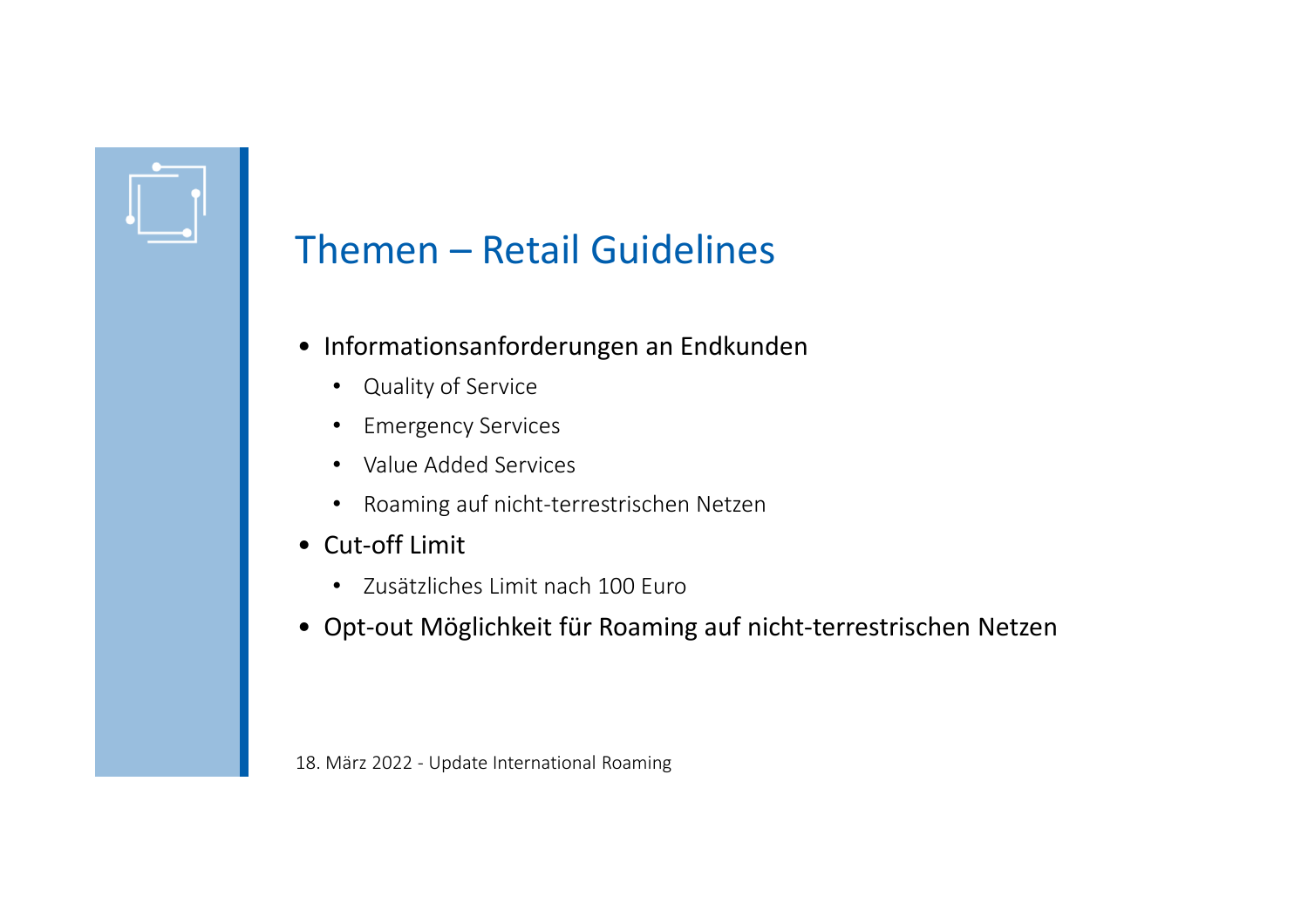

# Themen – Retail Guidelines

- Informationsanforderungen an Endkunden
	- Quality of Service
	- Emergency Services
	- Value Added Services
	- Roaming auf nicht-terrestrischen Netzen
- Cut-off Limit
	- Zusätzliches Limit nach 100 Euro
- Opt-out Möglichkeit für Roaming auf nicht-terrestrischen Netzen